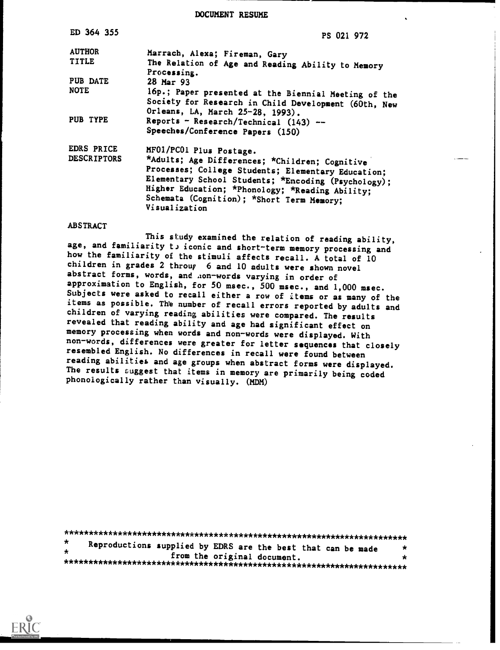DOCUMENT RESUME

| ED 364 355         | PS 021 972                                                                                                                                                                                                                                                                   |  |  |  |  |
|--------------------|------------------------------------------------------------------------------------------------------------------------------------------------------------------------------------------------------------------------------------------------------------------------------|--|--|--|--|
| <b>AUTHOR</b>      | Marrach, Alexa; Fireman, Gary                                                                                                                                                                                                                                                |  |  |  |  |
| <b>TITLE</b>       | The Relation of Age and Reading Ability to Memory<br>Processing.                                                                                                                                                                                                             |  |  |  |  |
| PUB DATE           | 28 Mar 93                                                                                                                                                                                                                                                                    |  |  |  |  |
| <b>NOTE</b>        | 16p.; Paper presented at the Biennial Meeting of the<br>Society for Research in Child Development (60th, New<br>Orleans, LA, March 25-28, 1993).                                                                                                                             |  |  |  |  |
| PUB TYPE           | Reports - Research/Technical $(143)$ --<br>Speeches/Conference Papers (150)                                                                                                                                                                                                  |  |  |  |  |
| <b>EDRS PRICE</b>  | MF01/PC01 Plus Postage.                                                                                                                                                                                                                                                      |  |  |  |  |
| <b>DESCRIPTORS</b> | *Adults; Age Differences; *Children; Cognitive<br>Processes; College Students; Elementary Education;<br>Elementary School Students; *Encoding (Psychology);<br>Higher Education; *Phonology; *Reading Ability;<br>Schemata (Cognition); *Short Term Memory;<br>Visualization |  |  |  |  |

### **ABSTRACT**

This study examined the relation of reading ability, age, and familiarity to iconic and short-term memory processing and how the familiarity of the stimuli affects recall. A total of 10 children in grades 2 throup 6 and 10 adults were shown novel abstract forms, words, and non-words varying in order of approximation to English, for 50 msec., 500 msec., and 1,000 msec. Subjects were asked to recall either a row of items or as many of the items as possible. The number of recall errors reported by adults and children of varying reading abilities were compared. The results revealed that reading ability and age had significant effect on memory processing when words and non-words were displayed. With non-words, differences were greater for letter sequences that closely resembled English. No differences in recall were found between reading abilities and age groups when abstract forms were displayed. The results suggest that items in memory are primarily being coded phonologically rather than visually. (MDM)

| $\star$ | Reproductions supplied by EDRS are the best that can be made |                             |  |  | $\star$ |
|---------|--------------------------------------------------------------|-----------------------------|--|--|---------|
| $\star$ |                                                              | from the original document. |  |  |         |
|         |                                                              |                             |  |  | $\star$ |

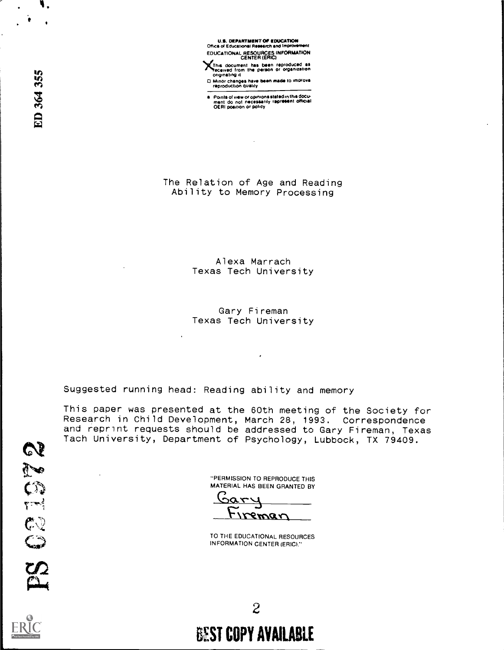**U.S. DEPARTMENT OF EDUCATION**<br>Office of Educational Research and Improver EDUCATIONAL RESOURCES INFORMATION

This document has been reproduced as originating it

D. Minor changes have been made to improve

a Points of view or opinions stated in this document do not inecessarily rapresent official.<br>OERI position or policy

The Relation of Age and Reading Ability to Memory Processing

> Alexa Marrach Texas Tech University

> Gary Fireman Texas Tech University

Suggested running head: Reading ability and memory

 $\ddot{\phantom{1}}$ 

This paper was presented at the 60th meeting of the Society for Research in Child Development, March 28, 1993. Correspondence<br>and reprint requests should be addressed to Gary Fireman, Texas Tach University, Department of Psychology, Lubbock, TX 79409.

> "PERMISSION TO REPRODUCE THIS MATERIAL HAS BEEN GRANTED BY

reman

TO THE EDUCATIONAL RESOURCES **INFORMATION CENTER (ERIC)."** 

 $\mathcal{C}$ 

ION

ED 364 355



 $\overline{2}$ 

# **BEST COPY AVAILABLE**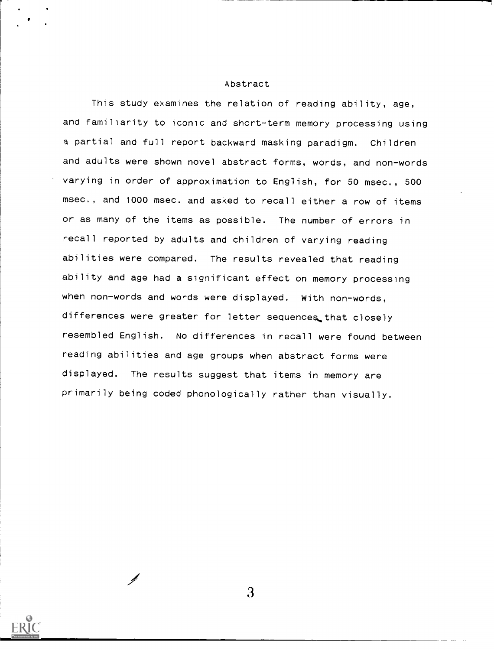### Abstract

This study examines the relation of reading ability, age, and familiarity to iconic and short-term memory processing using a partial and full report backward masking paradigm. Children and adults were shown novel abstract forms, words, and non-words varying in order of approximation to English, for 50 msec., 500 msec., and 1000 msec. and asked to recall either a row of items or as many of the items as possible. The number of errors in recall reported by adults and children of varying reading abilities were compared. The results revealed that reading ability and age had a significant effect on memory processing when non-words and words were displayed. With non-words, differences were greater for letter sequences that closely resembled English. No differences in recall were found between reading abilities and age groups when abstract forms were displayed. The results suggest that items in memory are primarily being coded phonologically rather than visually.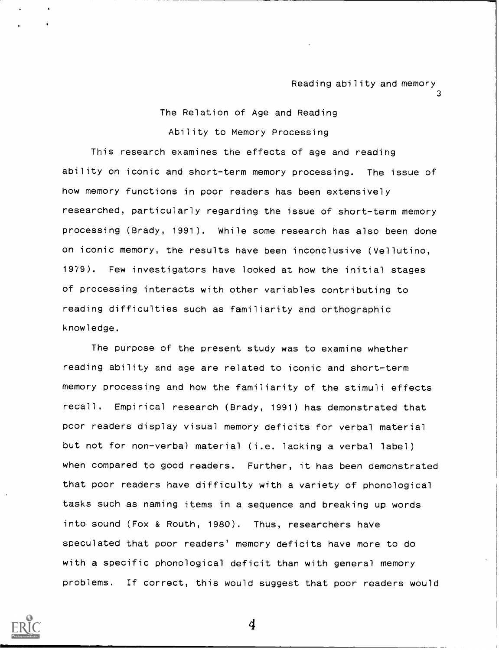3

## The Relation of Age and Reading Ability to Memory Processing

This research examines the effects of age and reading ability on iconic and short-term memory processing. The issue of how memory functions in poor readers has been extensively researched, particularly regarding the issue of short-term memory processing (Brady, 1991). While some research has also been done on iconic memory, the results have been inconclusive (Vellutino, 1979). Few investigators have looked at how the initial stages of processing interacts with other variables contributing to reading difficulties such as familiarity and orthographic knowledge.

The purpose of the present study was to examine whether reading ability and age are related to iconic and short-term memory processing and how the familiarity of the stimuli effects recall. Empirical research (Brady, 1991) has demonstrated that poor readers display visual memory deficits for verbal material but not for non-verbal material (i.e. lacking a verbal label) when compared to good readers. Further, it has been demonstrated that poor readers have difficulty with a variety of phonological tasks such as naming items in a sequence and breaking up words into sound (Fox & Routh, 1980). Thus, researchers have speculated that poor readers' memory deficits have more to do with a specific phonological deficit than with general memory problems. If correct, this would suggest that poor readers would

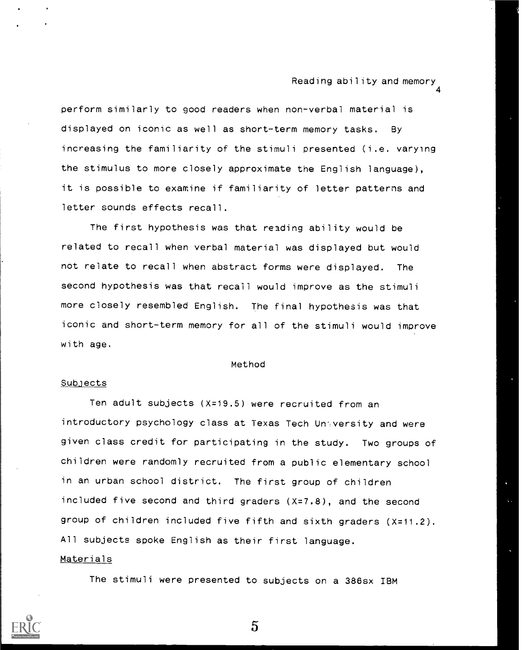4

perform similarly to good readers when non-verbal material is displayed on iconic as well as short-term memory tasks. By increasing the familiarity of the stimuli presented (i.e. varying the stimulus to more closely approximate the English language), it is possible to examine if familiarity of letter patterns and letter sounds effects recall.

The first hypothesis was that reading ability would be related to recall when verbal material was displayed but would not relate to recall when abstract forms were displayed. The second hypothesis was that recall would improve as the stimuli more closely resembled English. The final hypothesis was that iconic and short-term memory for all of the stimuli would improve with age.

### Method

### **Subjects**

Ten adult subjects (X=19.5) were recruited from an introductory psychology class at Texas Tech Unyversity and were given class credit for participating in the study. Two groups of children were randomly recruited from a public elementary school in an urban school district. The first group of children included five second and third graders (X=7.8), and the second group of children included five fifth and sixth graders (X=11.2). All subjects spoke English as their first language. Materials

The stimuli were presented to subjects on a 386sx IBM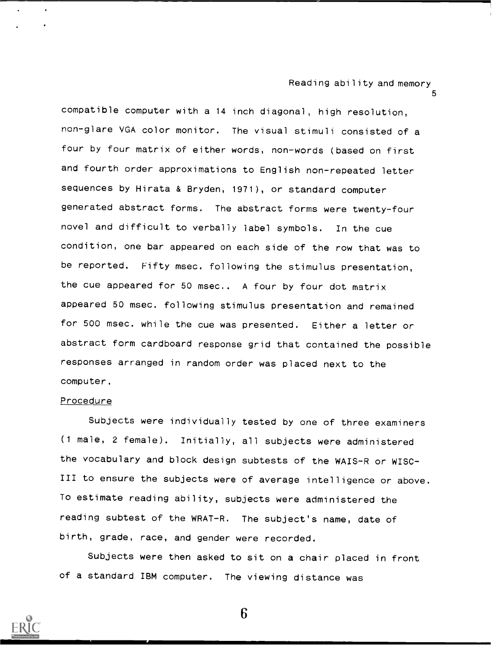5

compatible computer with a 14 inch diagonal, high resolution, non-glare VGA color monitor. The visual stimuli consisted of a four by four matrix of either words, non-words (based on first and fourth order approximations to English non-repeated letter sequences by Hirata & Bryden, 1971), or standard computer generated abstract forms. The abstract forms were twenty-four novel and difficult to verbally label symbols. In the cue condition, one bar appeared on each side of the row that was to be reported. Fifty msec. following the stimulus presentation, the cue appeared for 50 msec.. A four by four dot matrix appeared 50 msec. following stimulus presentation and remained for 500 msec. while the cue was presented. Either a letter or abstract form cardboard response grid that contained the possible responses arranged in random order was placed next to the computer.

#### Procedure

Subjects were individually tested by one of three examiners (1 male, 2 female). Initially, all subjects were administered the vocabulary and block design subtests of the WAIS-R or WISC-III to ensure the subjects were of average intelligence or above. To estimate reading ability, subjects were administered the reading subtest of the WRAT-R. The subject's name, date of birth, grade, race, and gender were recorded.

Subjects were then asked to sit on a chair placed in front of a standard IBM computer. The viewing distance was

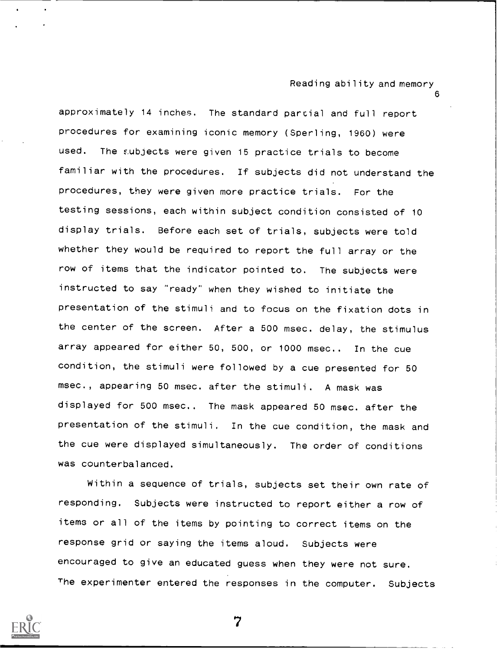6

approximately 14 inches. The standard partial and full report procedures for examining iconic memory (Sperling, 1960) were used. The subjects were given 15 practice trials to become familiar with the procedures. If subjects did not understand the procedures, they were given more practice trials. For the testing sessions, each within subject condition consisted of 10 display trials. Before each set of trials, subjects were told whether they would be required to report the full array or the row of items that the indicator pointed to. The subjects were instructed to say "ready" when they wished to initiate the presentation of the stimuli and to focus on the fixation dots in the center of the screen. After a 500 msec. delay, the stimulus array appeared for either 50, 500, or 1000 msec.. In the cue condition, the stimuli were followed by a cue presented for 50 msec., appearing 50 msec. after the stimuli. A mask was displayed for 500 msec.. The mask appeared 50 msec. after the presentation of the stimuli. In the cue condition, the mask and the cue were displayed simultaneously. The order of conditions was counterbalanced.

Within a sequence of trials, subjects set their own rate of responding. Subjects were instructed to report either a row of items or all of the items by pointing to correct items on the response grid or saying the items aloud. Subjects were encouraged to give an educated guess when they were not sure. The experimenter entered the responses in the computer. Subjects

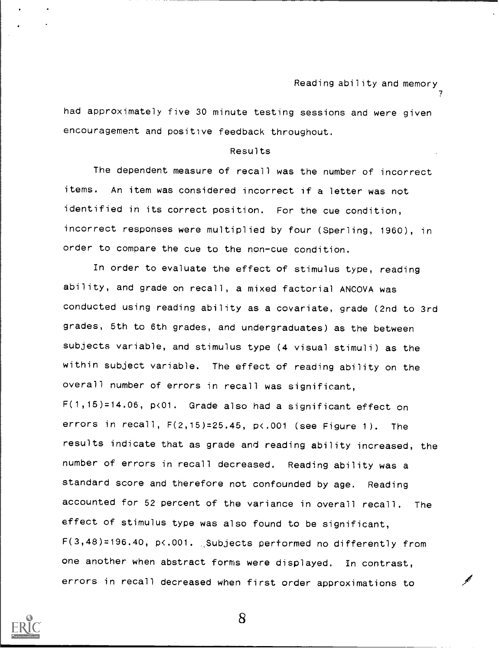had approximately five 30 minute testing sessions and were given encouragement and positive feedback throughout.

### Results

The dependent measure of recall was the number of incorrect items. An item was considered incorrect if a letter was not identified in its correct position. For the cue condition, incorrect responses were multiplied by four (Sperling, 1960), in order to compare the cue to the non-cue condition.

In order to evaluate the effect of stimulus type, reading ability, and grade on recall, a mixed factorial ANCOVA was conducted using reading ability as a covariate, grade (2nd to 3rd grades, 5th to 6th grades, and undergraduates) as the between subjects variable, and stimulus type (4 visual stimuli) as the within subject variable. The effect of reading ability on the overall number of errors in recall was significant, F(1,15)=14.06, p<01. Grade also had a significant effect on errors in recall,  $F(2,15)=25.45$ ,  $p\langle .001 \rangle$  (see Figure 1). The results indicate that as grade and reading ability increased, the number of errors in recall decreased. Reading ability was a standard score and therefore not confounded by age. Reading accounted for 52 percent of the variance in overall recall. The effect of stimulus type was also found to be significant, F(3,48)=196.40, p<.001. ,Subjects performed no differently from one another when abstract forms were displayed. In contrast, errors in recall decreased when first order approximations to

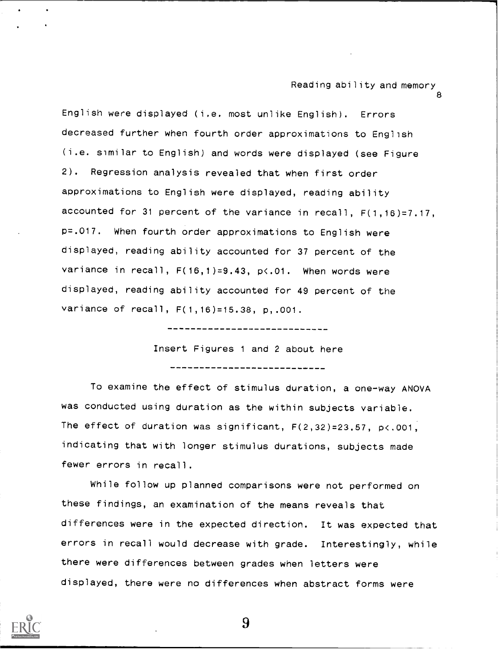1

8

English were displayed (i.e. most unlike English). Errors decreased further when fourth order approximations to English (i.e. similar to English) and words were displayed (see Figure 2). Regression analysis revealed that when first order approximations to English were displayed, reading ability accounted for 31 percent of the variance in recall, F(1,16)=7.17, p=.017. When fourth order approximations to English were displayed, reading ability accounted for 37 percent of the variance in recall, F(16,1)=9.43, p<.01. When words were displayed, reading ability accounted for 49 percent of the variance of recall, F(1,16)=15.38, p,.001.

-----------------------------

Insert Figures <sup>1</sup> and 2 about here

-------------------------------

To examine the effect of stimulus duration, a one-way ANOVA was conducted using duration as the within subjects variable. The effect of duration was significant, F(2,32)=23.57, p<.001, indicating that with longer stimulus durations, subjects made fewer errors in recall.

While follow up planned comparisons were not performed on these findings, an examination of the means reveals that differences were in the expected direction. It was expected that errors in recall would decrease with grade. Interestingly, while there were differences between grades when letters were displayed, there were no differences when abstract forms were

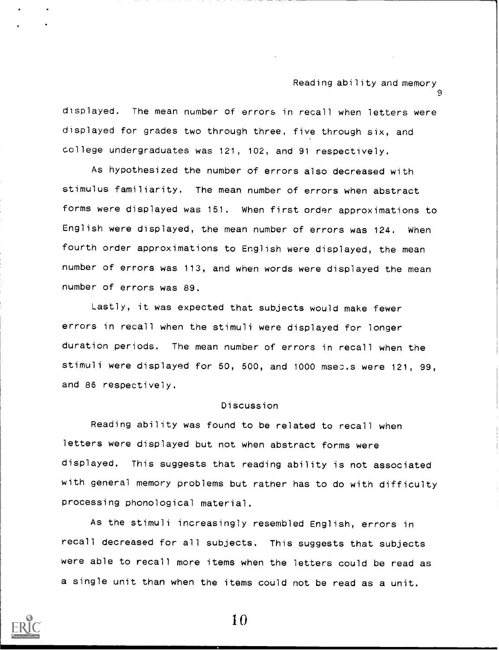displayed. The mean number of errors in recall when letters were displayed for grades two through three, five through six, and college undergraduates was 121, 102, and 91 respectively.

As hypothesized the number of errors also decreased with stimulus familiarity. The mean number of errors when abstract forms were displayed was 151. When first order approximations to English were displayed, the mean number of errors was 124. When fourth order approximations to English were displayed, the mean number of errors was 113, and when words were displayed the mean number of errors was 89.

Lastly, it was expected that subjects would make fewer errors in recall when the stimuli were displayed for longer duration periods. The mean number of errors in recall when the stimuli were displayed for 50, 500, and 1000 msec.s were 121, 99, and 86 respectively.

#### Discussion

Reading ability was found to be related to recall when letters were displayed but not when abstract forms were displayed. This suggests that reading ability is not associated with general memory problems but rather has to do with difficulty processing phonological material.

As the stimuli increasingly resembled English, errors in recall decreased for all subjects. This suggests that subjects were able to recall more items when the letters could be read as a single unit than when the items could not be read as a unit.

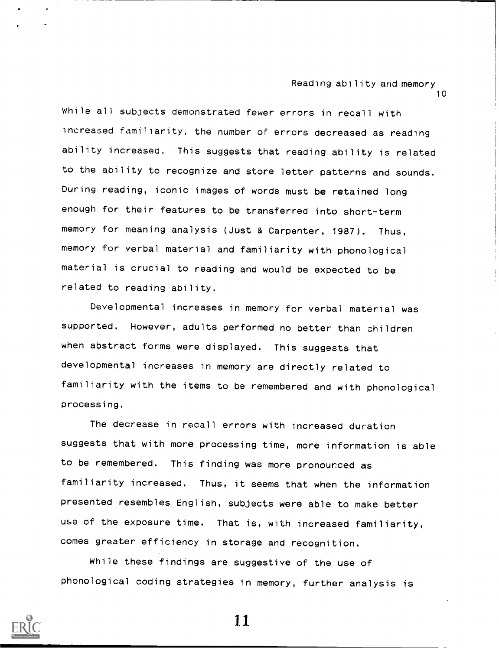While all subjects demonstrated fewer errors in recall with increased familiarity, the number of errors decreased as reading ability increased. This suggests that reading ability is related to the ability to recognize and store letter patterns and sounds. During reading, iconic images of words must be retained long enough for their features to be transferred into short-term memory for meaning analysis (Just & Carpenter, 1987). Thus, memory for verbal material and familiarity with phonological material is crucial to reading and would be expected to be related to reading ability.

Developmental increases in memory for verbal material was supported. However, adults performed no better than children when abstract forms were displayed. This suggests that developmental increases in memory are directly related to familiarity with the items to be remembered and with phonological processing.

The decrease in recall errors with increased duration suggests that with more processing time, more information is able to be remembered. This finding was more pronounced as familiarity increased. Thus, it seems that when the information presented resembles English, subjects were able to make better use of the exposure time. That is, with increased familiarity, comes greater efficiency in storage and recognition.

While these findings are suggestive of the use of phonological coding strategies in memory, further analysis is

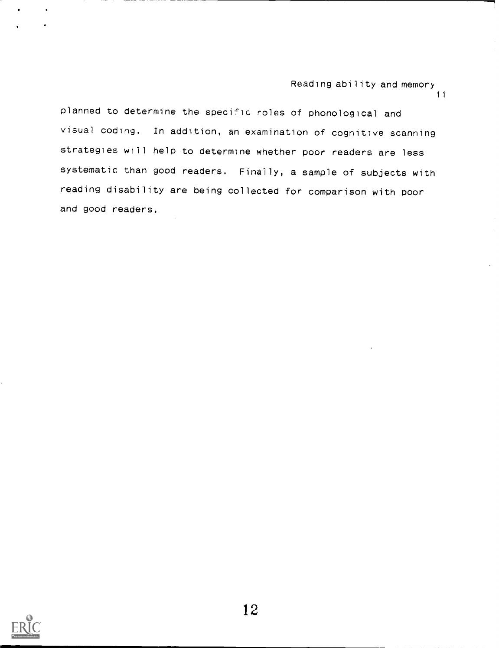planned to determine the specific roles of phonological and visual coding. In addition, an examination of cognitive scanning strategies will help to determine whether poor readers are less systematic than good readers. Finally, a sample of subjects with reading disability are being collected for comparison with poor and good readers.

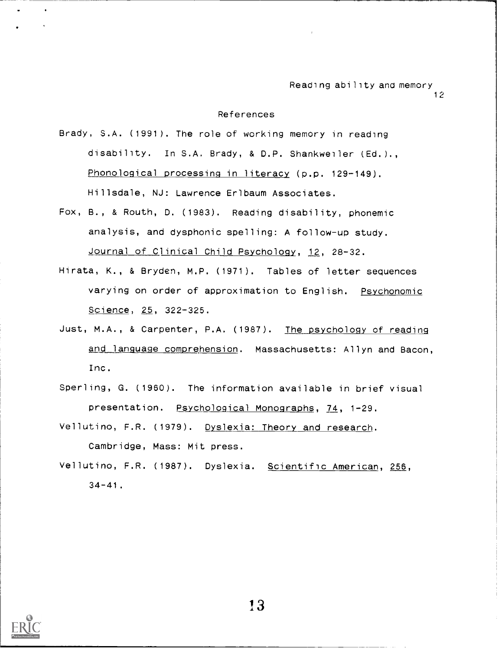12

### References

Brady, S.A. (1991). The role of working memory in reading disability. In S.A. Brady, & D.P. Shankweiler (Ed.)., Phonological processing in literacy (p.p. 129-149). Hillsdale, NJ: Lawrence Erlbaum Associates.

- Fox, B., & Routh, D. (1983). Reading disability, phonemic analysis, and dysphonic spelling: A follow-up study. Journal of Clinical Child Psychology, 12, 28-32.
- Hirata, K., & Bryden, M.P. (1971). Tables of letter sequences varying on order of approximation to English. Psychonomic Science, 25, 322-325.
- Just, M.A., & Carpenter, P.A. (1987). The psychology of reading and language comprehension. Massachusetts: Allyn and Bacon, Inc.
- Sperling, G. (1960). The information available in brief visual presentation. Psychological Monographs, 74, 1-29.
- Vellutino, F.R. (1979). Dyslexia: Theory and research. Cambridge, Mass: Mit press.
- Vellutino, F.R. (1987). Dyslexia. Scientific American, 256,  $34 - 41$ .

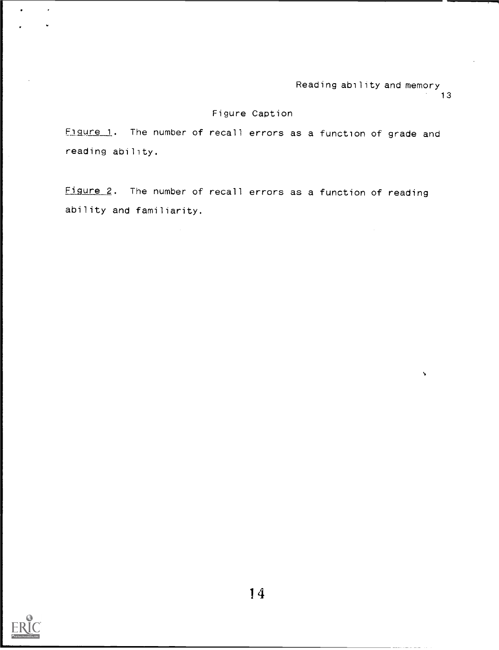$\bar{\mathbf{v}}$ 

### Figure Caption

Figure 1. The number of recall errors as a function of grade and reading ability.

Figure 2. The number of recall errors as a function of reading ability and familiarity.



 $\epsilon$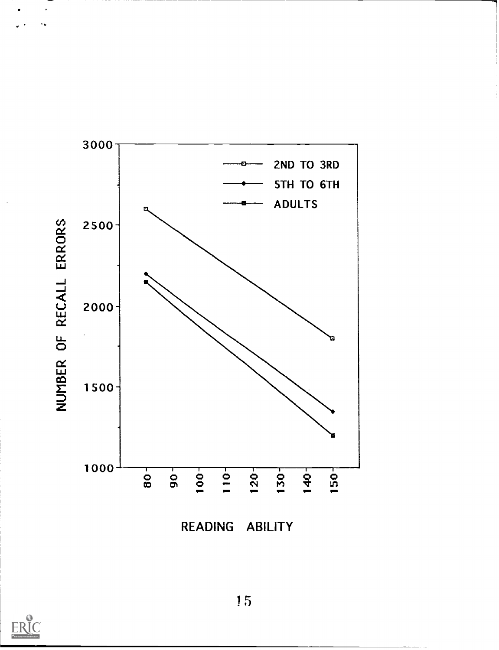